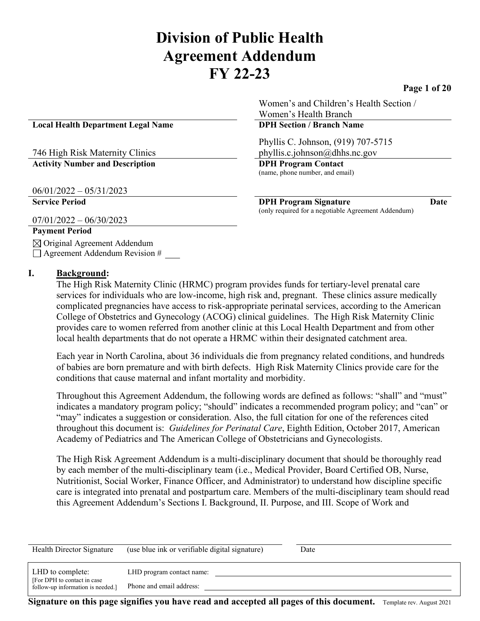# **Division of Public Health Agreement Addendum FY 22-23**

**Page 1 of 20**

**Local Health Department Legal Name DPH Section / Branch Name**

#### 746 High Risk Maternity Clinics **Activity Number and Description DPH Program Contact**

06/01/2022 – 05/31/2023

07/01/2022 – 06/30/2023

#### **Payment Period**

 $\boxtimes$  Original Agreement Addendum  $\Box$  Agreement Addendum Revision #

#### **I. Background:**

The High Risk Maternity Clinic (HRMC) program provides funds for tertiary-level prenatal care services for individuals who are low-income, high risk and, pregnant. These clinics assure medically complicated pregnancies have access to risk-appropriate perinatal services, according to the American College of Obstetrics and Gynecology (ACOG) clinical guidelines. The High Risk Maternity Clinic provides care to women referred from another clinic at this Local Health Department and from other local health departments that do not operate a HRMC within their designated catchment area.

Each year in North Carolina, about 36 individuals die from pregnancy related conditions, and hundreds of babies are born premature and with birth defects. High Risk Maternity Clinics provide care for the conditions that cause maternal and infant mortality and morbidity.

Throughout this Agreement Addendum, the following words are defined as follows: "shall" and "must" indicates a mandatory program policy; "should" indicates a recommended program policy; and "can" or "may" indicates a suggestion or consideration. Also, the full citation for one of the references cited throughout this document is: *Guidelines for Perinatal Care*, Eighth Edition, October 2017, American Academy of Pediatrics and The American College of Obstetricians and Gynecologists.

The High Risk Agreement Addendum is a multi-disciplinary document that should be thoroughly read by each member of the multi-disciplinary team (i.e., Medical Provider, Board Certified OB, Nurse, Nutritionist, Social Worker, Finance Officer, and Administrator) to understand how discipline specific care is integrated into prenatal and postpartum care. Members of the multi-disciplinary team should read this Agreement Addendum's Sections I. Background, II. Purpose, and III. Scope of Work and

| Health Director Signature                                                             | (use blue ink or verifiable digital signature)        | Date |
|---------------------------------------------------------------------------------------|-------------------------------------------------------|------|
| LHD to complete:<br>[For DPH to contact in case]<br>follow-up information is needed.] | LHD program contact name:<br>Phone and email address: |      |

**Signature on this page signifies you have read and accepted all pages of this document.** Template rev. August 2021

**Service Period DPH Program Signature Date** (only required for a negotiable Agreement Addendum)

Women's and Children's Health Section /

Phyllis C. Johnson, (919) 707-5715 phyllis.c.johnson@dhhs.nc.gov

Women's Health Branch

(name, phone number, and email)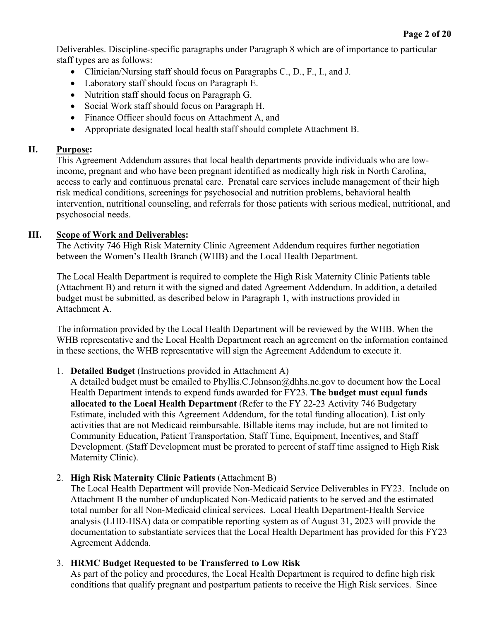**Page 2 of 20**

Deliverables. Discipline-specific paragraphs under Paragraph 8 which are of importance to particular staff types are as follows:

- Clinician/Nursing staff should focus on Paragraphs C., D., F., I., and J.
- Laboratory staff should focus on Paragraph E.
- Nutrition staff should focus on Paragraph G.
- Social Work staff should focus on Paragraph H.
- Finance Officer should focus on Attachment A, and
- Appropriate designated local health staff should complete Attachment B.

#### **II. Purpose:**

This Agreement Addendum assures that local health departments provide individuals who are lowincome, pregnant and who have been pregnant identified as medically high risk in North Carolina, access to early and continuous prenatal care. Prenatal care services include management of their high risk medical conditions, screenings for psychosocial and nutrition problems, behavioral health intervention, nutritional counseling, and referrals for those patients with serious medical, nutritional, and psychosocial needs.

#### **III. Scope of Work and Deliverables:**

The Activity 746 High Risk Maternity Clinic Agreement Addendum requires further negotiation between the Women's Health Branch (WHB) and the Local Health Department.

The Local Health Department is required to complete the High Risk Maternity Clinic Patients table (Attachment B) and return it with the signed and dated Agreement Addendum. In addition, a detailed budget must be submitted, as described below in Paragraph 1, with instructions provided in Attachment A.

The information provided by the Local Health Department will be reviewed by the WHB. When the WHB representative and the Local Health Department reach an agreement on the information contained in these sections, the WHB representative will sign the Agreement Addendum to execute it.

1. **Detailed Budget** (Instructions provided in Attachment A)

A detailed budget must be emailed to [Phyllis.C.Johnson@dhhs.nc.gov](mailto:Phyllis.C.Johnson@dhhs.nc.gov) to document how the Local Health Department intends to expend funds awarded for FY23. **The budget must equal funds allocated to the Local Health Department** (Refer to the FY 22-23 Activity 746 Budgetary Estimate, included with this Agreement Addendum, for the total funding allocation). List only activities that are not Medicaid reimbursable. Billable items may include, but are not limited to Community Education, Patient Transportation, Staff Time, Equipment, Incentives, and Staff Development. (Staff Development must be prorated to percent of staff time assigned to High Risk Maternity Clinic).

#### 2. **High Risk Maternity Clinic Patients** (Attachment B)

The Local Health Department will provide Non-Medicaid Service Deliverables in FY23. Include on Attachment B the number of unduplicated Non-Medicaid patients to be served and the estimated total number for all Non-Medicaid clinical services. Local Health Department-Health Service analysis (LHD-HSA) data or compatible reporting system as of August 31, 2023 will provide the documentation to substantiate services that the Local Health Department has provided for this FY23 Agreement Addenda.

#### 3. **HRMC Budget Requested to be Transferred to Low Risk**

As part of the policy and procedures, the Local Health Department is required to define high risk conditions that qualify pregnant and postpartum patients to receive the High Risk services. Since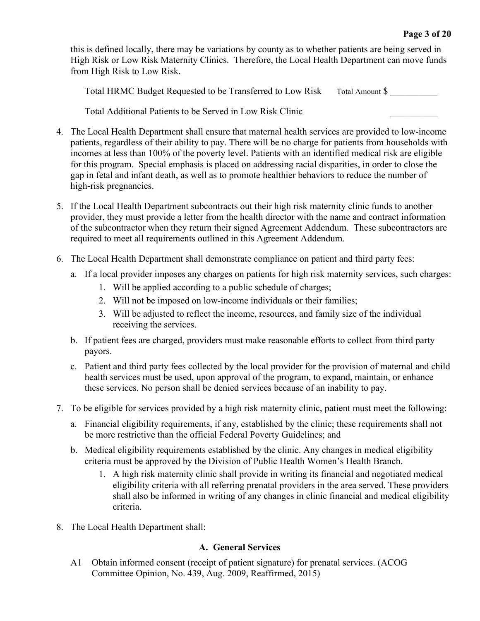this is defined locally, there may be variations by county as to whether patients are being served in High Risk or Low Risk Maternity Clinics. Therefore, the Local Health Department can move funds from High Risk to Low Risk.

Total HRMC Budget Requested to be Transferred to Low Risk Total Amount \$

Total Additional Patients to be Served in Low Risk Clinic \_\_\_\_\_\_\_\_\_\_

- 4. The Local Health Department shall ensure that maternal health services are provided to low-income patients, regardless of their ability to pay. There will be no charge for patients from households with incomes at less than 100% of the poverty level. Patients with an identified medical risk are eligible for this program. Special emphasis is placed on addressing racial disparities, in order to close the gap in fetal and infant death, as well as to promote healthier behaviors to reduce the number of high-risk pregnancies.
- 5. If the Local Health Department subcontracts out their high risk maternity clinic funds to another provider, they must provide a letter from the health director with the name and contract information of the subcontractor when they return their signed Agreement Addendum. These subcontractors are required to meet all requirements outlined in this Agreement Addendum.
- 6. The Local Health Department shall demonstrate compliance on patient and third party fees:
	- a. If a local provider imposes any charges on patients for high risk maternity services, such charges:
		- 1. Will be applied according to a public schedule of charges;
		- 2. Will not be imposed on low-income individuals or their families;
		- 3. Will be adjusted to reflect the income, resources, and family size of the individual receiving the services.
	- b. If patient fees are charged, providers must make reasonable efforts to collect from third party payors.
	- c. Patient and third party fees collected by the local provider for the provision of maternal and child health services must be used, upon approval of the program, to expand, maintain, or enhance these services. No person shall be denied services because of an inability to pay.
- 7. To be eligible for services provided by a high risk maternity clinic, patient must meet the following:
	- a. Financial eligibility requirements, if any, established by the clinic; these requirements shall not be more restrictive than the official Federal Poverty Guidelines; and
	- b. Medical eligibility requirements established by the clinic. Any changes in medical eligibility criteria must be approved by the Division of Public Health Women's Health Branch.
		- 1. A high risk maternity clinic shall provide in writing its financial and negotiated medical eligibility criteria with all referring prenatal providers in the area served. These providers shall also be informed in writing of any changes in clinic financial and medical eligibility criteria.
- 8. The Local Health Department shall:

#### **A. General Services**

A1 Obtain informed consent (receipt of patient signature) for prenatal services. (ACOG Committee Opinion, No. 439, Aug. 2009, Reaffirmed, 2015)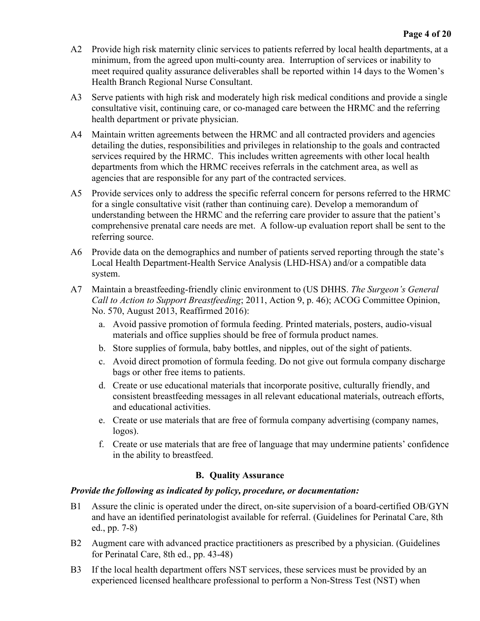- A2 Provide high risk maternity clinic services to patients referred by local health departments, at a minimum, from the agreed upon multi-county area. Interruption of services or inability to meet required quality assurance deliverables shall be reported within 14 days to the Women's Health Branch Regional Nurse Consultant.
- A3 Serve patients with high risk and moderately high risk medical conditions and provide a single consultative visit, continuing care, or co-managed care between the HRMC and the referring health department or private physician.
- A4 Maintain written agreements between the HRMC and all contracted providers and agencies detailing the duties, responsibilities and privileges in relationship to the goals and contracted services required by the HRMC. This includes written agreements with other local health departments from which the HRMC receives referrals in the catchment area, as well as agencies that are responsible for any part of the contracted services.
- A5 Provide services only to address the specific referral concern for persons referred to the HRMC for a single consultative visit (rather than continuing care). Develop a memorandum of understanding between the HRMC and the referring care provider to assure that the patient's comprehensive prenatal care needs are met. A follow-up evaluation report shall be sent to the referring source.
- A6 Provide data on the demographics and number of patients served reporting through the state's Local Health Department-Health Service Analysis (LHD-HSA) and/or a compatible data system.
- A7 Maintain a breastfeeding-friendly clinic environment to (US DHHS. *The Surgeon's General Call to Action to Support Breastfeeding*; 2011, Action 9, p. 46); ACOG Committee Opinion, No. 570, August 2013, Reaffirmed 2016):
	- a. Avoid passive promotion of formula feeding. Printed materials, posters, audio-visual materials and office supplies should be free of formula product names.
	- b. Store supplies of formula, baby bottles, and nipples, out of the sight of patients.
	- c. Avoid direct promotion of formula feeding. Do not give out formula company discharge bags or other free items to patients.
	- d. Create or use educational materials that incorporate positive, culturally friendly, and consistent breastfeeding messages in all relevant educational materials, outreach efforts, and educational activities.
	- e. Create or use materials that are free of formula company advertising (company names, logos).
	- f. Create or use materials that are free of language that may undermine patients' confidence in the ability to breastfeed.

# **B. Quality Assurance**

#### *Provide the following as indicated by policy, procedure, or documentation:*

- B1 Assure the clinic is operated under the direct, on-site supervision of a board-certified OB/GYN and have an identified perinatologist available for referral. (Guidelines for Perinatal Care, 8th ed., pp. 7-8)
- B2 Augment care with advanced practice practitioners as prescribed by a physician. (Guidelines for Perinatal Care, 8th ed., pp. 43-48)
- B3 If the local health department offers NST services, these services must be provided by an experienced licensed healthcare professional to perform a Non-Stress Test (NST) when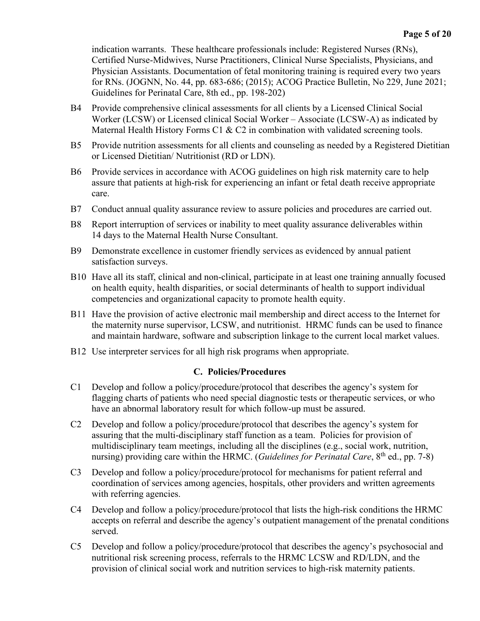indication warrants. These healthcare professionals include: Registered Nurses (RNs), Certified Nurse-Midwives, Nurse Practitioners, Clinical Nurse Specialists, Physicians, and Physician Assistants. Documentation of fetal monitoring training is required every two years for RNs. (JOGNN, No. 44, pp. 683-686; (2015); ACOG Practice Bulletin, No 229, June 2021; Guidelines for Perinatal Care, 8th ed., pp. 198-202)

- B4 Provide comprehensive clinical assessments for all clients by a Licensed Clinical Social Worker (LCSW) or Licensed clinical Social Worker – Associate (LCSW-A) as indicated by Maternal Health History Forms C1 & C2 in combination with validated screening tools.
- B5 Provide nutrition assessments for all clients and counseling as needed by a Registered Dietitian or Licensed Dietitian/ Nutritionist (RD or LDN).
- B6 Provide services in accordance with ACOG guidelines on high risk maternity care to help assure that patients at high-risk for experiencing an infant or fetal death receive appropriate care.
- B7 Conduct annual quality assurance review to assure policies and procedures are carried out.
- B8 Report interruption of services or inability to meet quality assurance deliverables within 14 days to the Maternal Health Nurse Consultant.
- B9 Demonstrate excellence in customer friendly services as evidenced by annual patient satisfaction surveys.
- B10 Have all its staff, clinical and non-clinical, participate in at least one training annually focused on health equity, health disparities, or social determinants of health to support individual competencies and organizational capacity to promote health equity.
- B11 Have the provision of active electronic mail membership and direct access to the Internet for the maternity nurse supervisor, LCSW, and nutritionist. HRMC funds can be used to finance and maintain hardware, software and subscription linkage to the current local market values.
- B12 Use interpreter services for all high risk programs when appropriate.

#### **C. Policies/Procedures**

- C1 Develop and follow a policy/procedure/protocol that describes the agency's system for flagging charts of patients who need special diagnostic tests or therapeutic services, or who have an abnormal laboratory result for which follow-up must be assured.
- C2 Develop and follow a policy/procedure/protocol that describes the agency's system for assuring that the multi-disciplinary staff function as a team. Policies for provision of multidisciplinary team meetings, including all the disciplines (e.g., social work, nutrition, nursing) providing care within the HRMC. (*Guidelines for Perinatal Care*, 8<sup>th</sup> ed., pp. 7-8)
- C3 Develop and follow a policy/procedure/protocol for mechanisms for patient referral and coordination of services among agencies, hospitals, other providers and written agreements with referring agencies.
- C4 Develop and follow a policy/procedure/protocol that lists the high-risk conditions the HRMC accepts on referral and describe the agency's outpatient management of the prenatal conditions served.
- C5 Develop and follow a policy/procedure/protocol that describes the agency's psychosocial and nutritional risk screening process, referrals to the HRMC LCSW and RD/LDN, and the provision of clinical social work and nutrition services to high-risk maternity patients.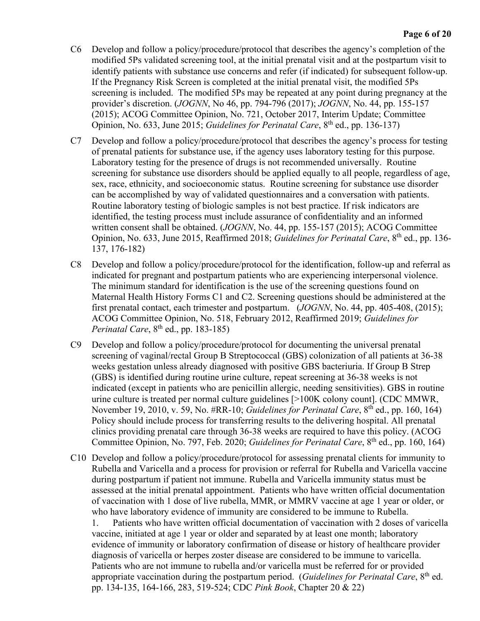- C6 Develop and follow a policy/procedure/protocol that describes the agency's completion of the modified 5Ps validated screening tool, at the initial prenatal visit and at the postpartum visit to identify patients with substance use concerns and refer (if indicated) for subsequent follow-up. If the Pregnancy Risk Screen is completed at the initial prenatal visit, the modified 5Ps screening is included. The modified 5Ps may be repeated at any point during pregnancy at the provider's discretion. (*JOGNN*, No 46, pp. 794-796 (2017); *JOGNN*, No. 44, pp. 155-157 (2015); ACOG Committee Opinion, No. 721, October 2017, Interim Update; Committee Opinion, No. 633, June 2015; *Guidelines for Perinatal Care*, 8<sup>th</sup> ed., pp. 136-137)
- C7 Develop and follow a policy/procedure/protocol that describes the agency's process for testing of prenatal patients for substance use, if the agency uses laboratory testing for this purpose. Laboratory testing for the presence of drugs is not recommended universally. Routine screening for substance use disorders should be applied equally to all people, regardless of age, sex, race, ethnicity, and socioeconomic status. Routine screening for substance use disorder can be accomplished by way of validated questionnaires and a conversation with patients. Routine laboratory testing of biologic samples is not best practice. If risk indicators are identified, the testing process must include assurance of confidentiality and an informed written consent shall be obtained. (*JOGNN*, No. 44, pp. 155-157 (2015); ACOG Committee Opinion, No. 633, June 2015, Reaffirmed 2018; *Guidelines for Perinatal Care*, 8<sup>th</sup> ed., pp. 136-137, 176-182)
- C8 Develop and follow a policy/procedure/protocol for the identification, follow-up and referral as indicated for pregnant and postpartum patients who are experiencing interpersonal violence. The minimum standard for identification is the use of the screening questions found on Maternal Health History Forms C1 and C2. Screening questions should be administered at the first prenatal contact, each trimester and postpartum. (*JOGNN*, No. 44, pp. 405-408, (2015); ACOG Committee Opinion, No. 518, February 2012, Reaffirmed 2019; *Guidelines for Perinatal Care*,  $8^{th}$  ed., pp. 183-185)
- C9 Develop and follow a policy/procedure/protocol for documenting the universal prenatal screening of vaginal/rectal Group B Streptococcal (GBS) colonization of all patients at 36-38 weeks gestation unless already diagnosed with positive GBS bacteriuria. If Group B Strep (GBS) is identified during routine urine culture, repeat screening at 36-38 weeks is not indicated (except in patients who are penicillin allergic, needing sensitivities). GBS in routine urine culture is treated per normal culture guidelines [>100K colony count]. (CDC MMWR, November 19, 2010, v. 59, No. #RR-10; *Guidelines for Perinatal Care*, 8<sup>th</sup> ed., pp. 160, 164) Policy should include process for transferring results to the delivering hospital. All prenatal clinics providing prenatal care through 36-38 weeks are required to have this policy. (ACOG Committee Opinion, No. 797, Feb. 2020; *Guidelines for Perinatal Care*, 8<sup>th</sup> ed., pp. 160, 164)
- C10 Develop and follow a policy/procedure/protocol for assessing prenatal clients for immunity to Rubella and Varicella and a process for provision or referral for Rubella and Varicella vaccine during postpartum if patient not immune. Rubella and Varicella immunity status must be assessed at the initial prenatal appointment. Patients who have written official documentation of vaccination with 1 dose of live rubella, MMR, or MMRV vaccine at age 1 year or older, or who have laboratory evidence of immunity are considered to be immune to Rubella.

1. Patients who have written official documentation of vaccination with 2 doses of varicella vaccine, initiated at age 1 year or older and separated by at least one month; laboratory evidence of immunity or laboratory confirmation of disease or history of healthcare provider diagnosis of varicella or herpes zoster disease are considered to be immune to varicella. Patients who are not immune to rubella and/or varicella must be referred for or provided appropriate vaccination during the postpartum period. (*Guidelines for Perinatal Care*, 8<sup>th</sup> ed. pp. 134-135, 164-166, 283, 519-524; CDC *Pink Book*, Chapter 20 & 22)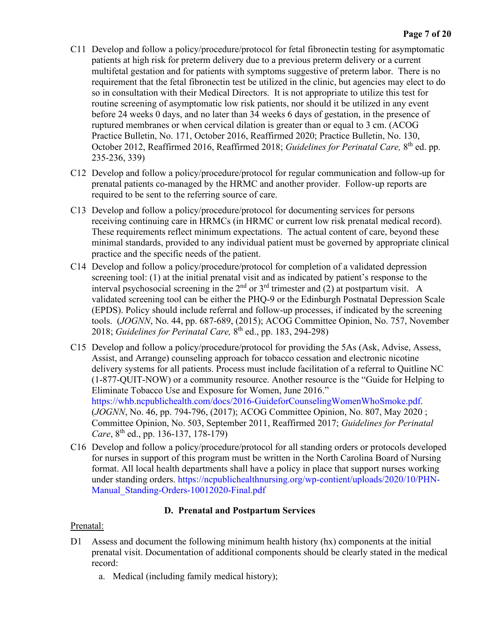- C11 Develop and follow a policy/procedure/protocol for fetal fibronectin testing for asymptomatic patients at high risk for preterm delivery due to a previous preterm delivery or a current multifetal gestation and for patients with symptoms suggestive of preterm labor. There is no requirement that the fetal fibronectin test be utilized in the clinic, but agencies may elect to do so in consultation with their Medical Directors. It is not appropriate to utilize this test for routine screening of asymptomatic low risk patients, nor should it be utilized in any event before 24 weeks 0 days, and no later than 34 weeks 6 days of gestation, in the presence of ruptured membranes or when cervical dilation is greater than or equal to 3 cm. (ACOG Practice Bulletin, No. 171, October 2016, Reaffirmed 2020; Practice Bulletin, No. 130, October 2012, Reaffirmed 2016, Reaffirmed 2018; *Guidelines for Perinatal Care*, 8<sup>th</sup> ed. pp. 235-236, 339)
- C12 Develop and follow a policy/procedure/protocol for regular communication and follow-up for prenatal patients co-managed by the HRMC and another provider. Follow-up reports are required to be sent to the referring source of care.
- C13 Develop and follow a policy/procedure/protocol for documenting services for persons receiving continuing care in HRMCs (in HRMC or current low risk prenatal medical record). These requirements reflect minimum expectations. The actual content of care, beyond these minimal standards, provided to any individual patient must be governed by appropriate clinical practice and the specific needs of the patient.
- C14 Develop and follow a policy/procedure/protocol for completion of a validated depression screening tool: (1) at the initial prenatal visit and as indicated by patient's response to the interval psychosocial screening in the  $2<sup>nd</sup>$  or  $3<sup>rd</sup>$  trimester and (2) at postpartum visit. A validated screening tool can be either the PHQ-9 or the Edinburgh Postnatal Depression Scale (EPDS). Policy should include referral and follow-up processes, if indicated by the screening tools. (*JOGNN*, No. 44, pp. 687-689, (2015); ACOG Committee Opinion, No. 757, November 2018; *Guidelines for Perinatal Care,* 8th ed., pp. 183, 294-298)
- C15 Develop and follow a policy/procedure/protocol for providing the 5As (Ask, Advise, Assess, Assist, and Arrange) counseling approach for tobacco cessation and electronic nicotine delivery systems for all patients. Process must include facilitation of a referral to Quitline NC (1-877-QUIT-NOW) or a community resource. Another resource is the "Guide for Helping to Eliminate Tobacco Use and Exposure for Women, June 2016." [https://whb.ncpublichealth.com/docs/2016-GuideforCounselingWomenWhoSmoke.pdf.](https://whb.ncpublichealth.com/docs/2016-GuideforCounselingWomenWhoSmoke.pdf) (*JOGNN*, No. 46, pp. 794-796, (2017); ACOG Committee Opinion, No. 807, May 2020 ; Committee Opinion, No. 503, September 2011, Reaffirmed 2017; *Guidelines for Perinatal Care*, 8<sup>th</sup> ed., pp. 136-137, 178-179)
- C16 Develop and follow a policy/procedure/protocol for all standing orders or protocols developed for nurses in support of this program must be written in the North Carolina Board of Nursing format. All local health departments shall have a policy in place that support nurses working under standing orders. [https://ncpublichealthnursing.org/wp-contient/uploads/2020/10/PHN-](https://ncpublichealthnursing.org/wp-contient/uploads/2020/10/PHN-Manual_Standing-Orders-10012020-Final.pdf)Manual Standing-Orders-10012020-Final.pdf

# **D. Prenatal and Postpartum Services**

#### Prenatal:

- D1 Assess and document the following minimum health history (hx) components at the initial prenatal visit. Documentation of additional components should be clearly stated in the medical record:
	- a. Medical (including family medical history);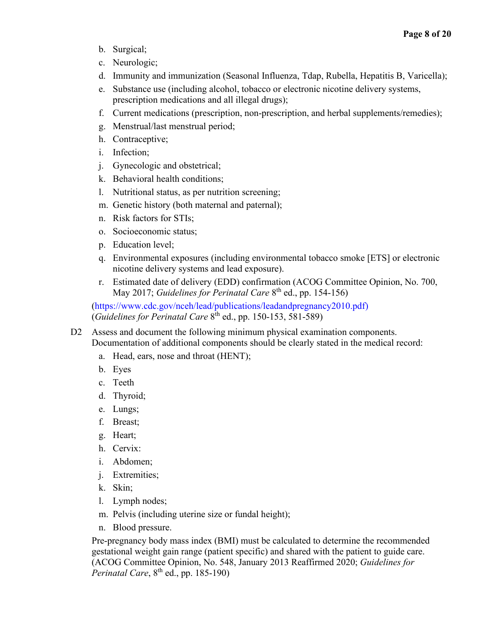- b. Surgical;
- c. Neurologic;
- d. Immunity and immunization (Seasonal Influenza, Tdap, Rubella, Hepatitis B, Varicella);
- e. Substance use (including alcohol, tobacco or electronic nicotine delivery systems, prescription medications and all illegal drugs);
- f. Current medications (prescription, non-prescription, and herbal supplements/remedies);
- g. Menstrual/last menstrual period;
- h. Contraceptive;
- i. Infection;
- j. Gynecologic and obstetrical;
- k. Behavioral health conditions;
- l. Nutritional status, as per nutrition screening;
- m. Genetic history (both maternal and paternal);
- n. Risk factors for STIs;
- o. Socioeconomic status;
- p. Education level;
- q. Environmental exposures (including environmental tobacco smoke [ETS] or electronic nicotine delivery systems and lead exposure).
- r. Estimated date of delivery (EDD) confirmation (ACOG Committee Opinion, No. 700, May 2017; *Guidelines for Perinatal Care* 8th ed., pp. 154-156)

[\(https://www.cdc.gov/nceh/lead/publications/leadandpregnancy2010.pdf\)](https://www.cdc.gov/nceh/lead/publications/leadandpregnancy2010.pdf) (*Guidelines for Perinatal Care* 8th ed., pp. 150-153, 581-589)

- D2 Assess and document the following minimum physical examination components. Documentation of additional components should be clearly stated in the medical record:
	- a. Head, ears, nose and throat (HENT);
	- b. Eyes
	- c. Teeth
	- d. Thyroid;
	- e. Lungs;
	- f. Breast;
	- g. Heart;
	- h. Cervix:
	- i. Abdomen;
	- j. Extremities;
	- k. Skin;
	- l. Lymph nodes;
	- m. Pelvis (including uterine size or fundal height);
	- n. Blood pressure.

Pre-pregnancy body mass index (BMI) must be calculated to determine the recommended gestational weight gain range (patient specific) and shared with the patient to guide care. (ACOG Committee Opinion, No. 548, January 2013 Reaffirmed 2020; *Guidelines for Perinatal Care*, 8<sup>th</sup> ed., pp. 185-190)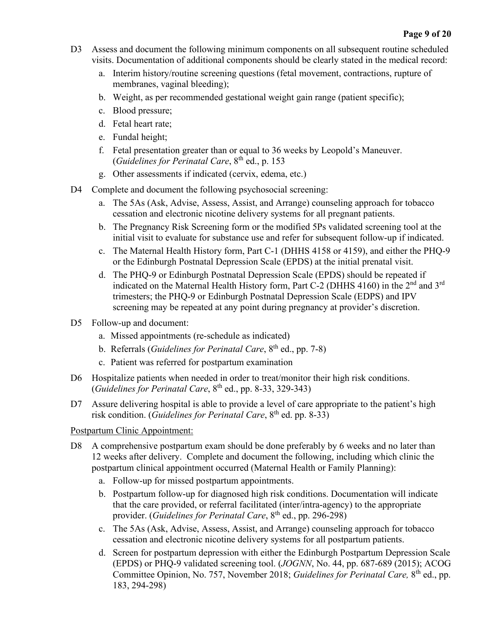- D3 Assess and document the following minimum components on all subsequent routine scheduled visits. Documentation of additional components should be clearly stated in the medical record:
	- a. Interim history/routine screening questions (fetal movement, contractions, rupture of membranes, vaginal bleeding);
	- b. Weight, as per recommended gestational weight gain range (patient specific);
	- c. Blood pressure;
	- d. Fetal heart rate;
	- e. Fundal height;
	- f. Fetal presentation greater than or equal to 36 weeks by Leopold's Maneuver. (*Guidelines for Perinatal Care*, 8<sup>th</sup> ed., p. 153
	- g. Other assessments if indicated (cervix, edema, etc.)
- D4 Complete and document the following psychosocial screening:
	- a. The 5As (Ask, Advise, Assess, Assist, and Arrange) counseling approach for tobacco cessation and electronic nicotine delivery systems for all pregnant patients.
	- b. The Pregnancy Risk Screening form or the modified 5Ps validated screening tool at the initial visit to evaluate for substance use and refer for subsequent follow-up if indicated.
	- c. The Maternal Health History form, Part C-1 (DHHS 4158 or 4159), and either the PHQ-9 or the Edinburgh Postnatal Depression Scale (EPDS) at the initial prenatal visit.
	- d. The PHQ-9 or Edinburgh Postnatal Depression Scale (EPDS) should be repeated if indicated on the Maternal Health History form, Part C-2 (DHHS 4160) in the  $2<sup>nd</sup>$  and  $3<sup>rd</sup>$ trimesters; the PHQ-9 or Edinburgh Postnatal Depression Scale (EDPS) and IPV screening may be repeated at any point during pregnancy at provider's discretion.
- D5 Follow-up and document:
	- a. Missed appointments (re-schedule as indicated)
	- b. Referrals (*Guidelines for Perinatal Care*, 8th ed., pp. 7-8)
	- c. Patient was referred for postpartum examination
- D6 Hospitalize patients when needed in order to treat/monitor their high risk conditions.  $(Guidelines for Perinatal Care, 8<sup>th</sup> ed., pp. 8-33, 329-343)$
- D7 Assure delivering hospital is able to provide a level of care appropriate to the patient's high risk condition. (*Guidelines for Perinatal Care*, 8<sup>th</sup> ed. pp. 8-33)

#### Postpartum Clinic Appointment:

- D8 A comprehensive postpartum exam should be done preferably by 6 weeks and no later than 12 weeks after delivery. Complete and document the following, including which clinic the postpartum clinical appointment occurred (Maternal Health or Family Planning):
	- a. Follow-up for missed postpartum appointments.
	- b. Postpartum follow-up for diagnosed high risk conditions. Documentation will indicate that the care provided, or referral facilitated (inter/intra-agency) to the appropriate provider. (*Guidelines for Perinatal Care*, 8<sup>th</sup> ed., pp. 296-298)
	- c. The 5As (Ask, Advise, Assess, Assist, and Arrange) counseling approach for tobacco cessation and electronic nicotine delivery systems for all postpartum patients.
	- d. Screen for postpartum depression with either the Edinburgh Postpartum Depression Scale (EPDS) or PHQ-9 validated screening tool. (*JOGNN*, No. 44, pp. 687-689 (2015); ACOG Committee Opinion, No. 757, November 2018; *Guidelines for Perinatal Care,* 8th ed., pp. 183, 294-298)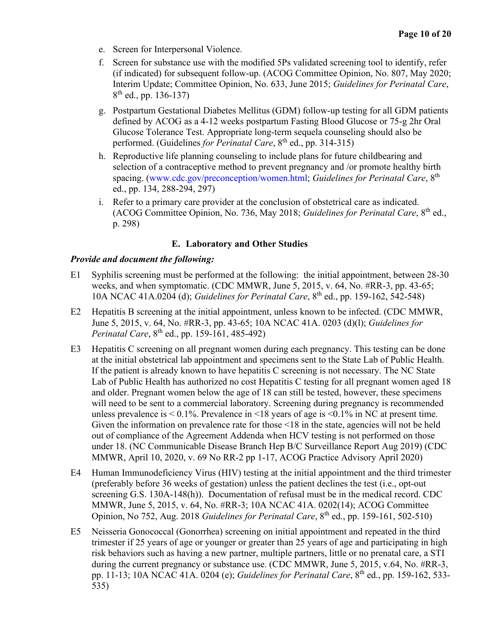- e. Screen for Interpersonal Violence.
- f. Screen for substance use with the modified 5Ps validated screening tool to identify, refer (if indicated) for subsequent follow-up. (ACOG Committee Opinion, No. 807, May 2020; Interim Update; Committee Opinion, No. 633, June 2015; *Guidelines for Perinatal Care*,  $8<sup>th</sup>$  ed., pp. 136-137)
- g. Postpartum Gestational Diabetes Mellitus (GDM) follow-up testing for all GDM patients defined by ACOG as a 4-12 weeks postpartum Fasting Blood Glucose or 75-g 2hr Oral Glucose Tolerance Test. Appropriate long-term sequela counseling should also be performed. (Guidelines *for Perinatal Care*, 8th ed., pp. 314-315)
- h. Reproductive life planning counseling to include plans for future childbearing and selection of a contraceptive method to prevent pregnancy and /or promote healthy birth spacing. [\(www.cdc.gov/preconception/women.html;](http://www.cdc.gov/preconception/women.html) *Guidelines for Perinatal Care*, 8th ed., pp. 134, 288-294, 297)
- i. Refer to a primary care provider at the conclusion of obstetrical care as indicated. (ACOG Committee Opinion, No. 736, May 2018; *Guidelines for Perinatal Care*, 8<sup>th</sup> ed., p. 298)

#### **E. Laboratory and Other Studies**

#### *Provide and document the following:*

- E1 Syphilis screening must be performed at the following: the initial appointment, between 28-30 weeks, and when symptomatic. (CDC MMWR, June 5, 2015, v. 64, No. #RR-3, pp. 43-65; 10A NCAC 41A.0204 (d); *Guidelines for Perinatal Care*, 8th ed., pp. 159-162, 542-548)
- E2 Hepatitis B screening at the initial appointment, unless known to be infected. (CDC MMWR, June 5, 2015, v. 64, No. #RR-3, pp. 43-65; 10A NCAC 41A. 0203 (d)(l); *Guidelines for Perinatal Care*, 8<sup>th</sup> ed., pp. 159-161, 485-492)
- E3 Hepatitis C screening on all pregnant women during each pregnancy. This testing can be done at the initial obstetrical lab appointment and specimens sent to the State Lab of Public Health. If the patient is already known to have hepatitis C screening is not necessary. The NC State Lab of Public Health has authorized no cost Hepatitis C testing for all pregnant women aged 18 and older. Pregnant women below the age of 18 can still be tested, however, these specimens will need to be sent to a commercial laboratory. Screening during pregnancy is recommended unless prevalence is  $\leq 0.1\%$ . Prevalence in  $\leq 18$  years of age is  $\leq 0.1\%$  in NC at present time. Given the information on prevalence rate for those <18 in the state, agencies will not be held out of compliance of the Agreement Addenda when HCV testing is not performed on those under 18. (NC Communicable Disease Branch Hep B/C Surveillance Report Aug 2019) (CDC MMWR, April 10, 2020, v. 69 No RR-2 pp 1-17, ACOG Practice Advisory April 2020)
- E4 Human Immunodeficiency Virus (HIV) testing at the initial appointment and the third trimester (preferably before 36 weeks of gestation) unless the patient declines the test (i.e., opt-out screening G.S. 130A-148(h)). Documentation of refusal must be in the medical record. CDC MMWR, June 5, 2015, v. 64, No. #RR-3; 10A NCAC 41A. 0202(14); ACOG Committee Opinion, No 752, Aug. 2018 *Guidelines for Perinatal Care*, 8th ed., pp. 159-161, 502-510)
- E5 Neisseria Gonococcal (Gonorrhea) screening on initial appointment and repeated in the third trimester if 25 years of age or younger or greater than 25 years of age and participating in high risk behaviors such as having a new partner, multiple partners, little or no prenatal care, a STI during the current pregnancy or substance use. (CDC MMWR, June 5, 2015, v.64, No. #RR-3, pp. 11-13; 10A NCAC 41A. 0204 (e); *Guidelines for Perinatal Care*, 8<sup>th</sup> ed., pp. 159-162, 533-535)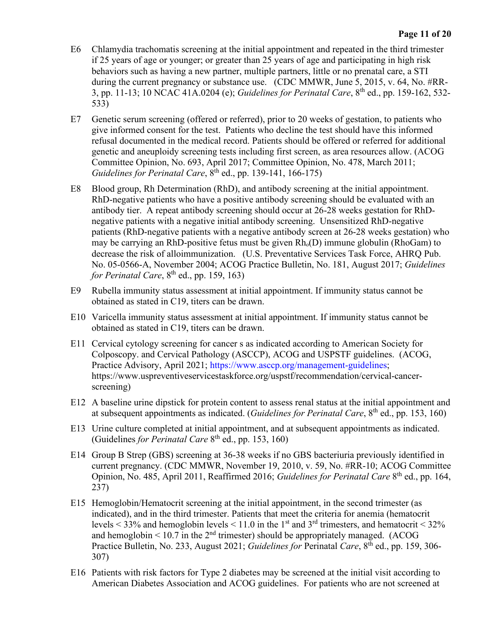- E6 Chlamydia trachomatis screening at the initial appointment and repeated in the third trimester if 25 years of age or younger; or greater than 25 years of age and participating in high risk behaviors such as having a new partner, multiple partners, little or no prenatal care, a STI during the current pregnancy or substance use. (CDC MMWR, June 5, 2015, v. 64, No. #RR-3, pp. 11-13; 10 NCAC 41A.0204 (e); *Guidelines for Perinatal Care*, 8th ed., pp. 159-162, 532- 533)
- E7 Genetic serum screening (offered or referred), prior to 20 weeks of gestation, to patients who give informed consent for the test. Patients who decline the test should have this informed refusal documented in the medical record. Patients should be offered or referred for additional genetic and aneuploidy screening tests including first screen, as area resources allow. (ACOG Committee Opinion, No. 693, April 2017; Committee Opinion, No. 478, March 2011; *Guidelines for Perinatal Care*, 8<sup>th</sup> ed., pp. 139-141, 166-175)
- E8 Blood group, Rh Determination (RhD), and antibody screening at the initial appointment. RhD-negative patients who have a positive antibody screening should be evaluated with an antibody tier. A repeat antibody screening should occur at 26-28 weeks gestation for RhDnegative patients with a negative initial antibody screening. Unsensitized RhD-negative patients (RhD-negative patients with a negative antibody screen at 26-28 weeks gestation) who may be carrying an RhD-positive fetus must be given  $Rh_0(D)$  immune globulin (RhoGam) to decrease the risk of alloimmunization. (U.S. Preventative Services Task Force, AHRQ Pub. No. 05-0566-A, November 2004; ACOG Practice Bulletin, No. 181, August 2017; *Guidelines for Perinatal Care*,  $8<sup>th</sup>$  ed., pp. 159, 163)
- E9 Rubella immunity status assessment at initial appointment. If immunity status cannot be obtained as stated in C19, titers can be drawn.
- E10 Varicella immunity status assessment at initial appointment. If immunity status cannot be obtained as stated in C19, titers can be drawn.
- E11 Cervical cytology screening for cancer s as indicated according to American Society for Colposcopy. and Cervical Pathology (ASCCP), ACOG and USPSTF guidelines. (ACOG, Practice Advisory, April 2021; [https://www.asccp.org/management-guidelines;](https://www.asccp.org/management-guidelines) https://www.uspreventiveservicestaskforce.org/uspstf/recommendation/cervical-cancerscreening)
- E12 A baseline urine dipstick for protein content to assess renal status at the initial appointment and at subsequent appointments as indicated. (*Guidelines for Perinatal Care*, 8<sup>th</sup> ed., pp. 153, 160)
- E13 Urine culture completed at initial appointment, and at subsequent appointments as indicated. (Guidelines *for Perinatal Care* 8th ed., pp. 153, 160)
- E14 Group B Strep (GBS) screening at 36-38 weeks if no GBS bacteriuria previously identified in current pregnancy. (CDC MMWR, November 19, 2010, v. 59, No. #RR-10; ACOG Committee Opinion, No. 485, April 2011, Reaffirmed 2016; *Guidelines for Perinatal Care* 8th ed., pp. 164, 237)
- E15 Hemoglobin/Hematocrit screening at the initial appointment, in the second trimester (as indicated), and in the third trimester. Patients that meet the criteria for anemia (hematocrit levels  $\leq$  33% and hemoglobin levels  $\leq$  11.0 in the 1<sup>st</sup> and 3<sup>rd</sup> trimesters, and hematocrit  $\leq$  32% and hemoglobin  $\leq 10.7$  in the 2<sup>nd</sup> trimester) should be appropriately managed. (ACOG Practice Bulletin, No. 233, August 2021; *Guidelines for* Perinatal *Care*, 8<sup>th</sup> ed., pp. 159, 306-307)
- E16 Patients with risk factors for Type 2 diabetes may be screened at the initial visit according to American Diabetes Association and ACOG guidelines. For patients who are not screened at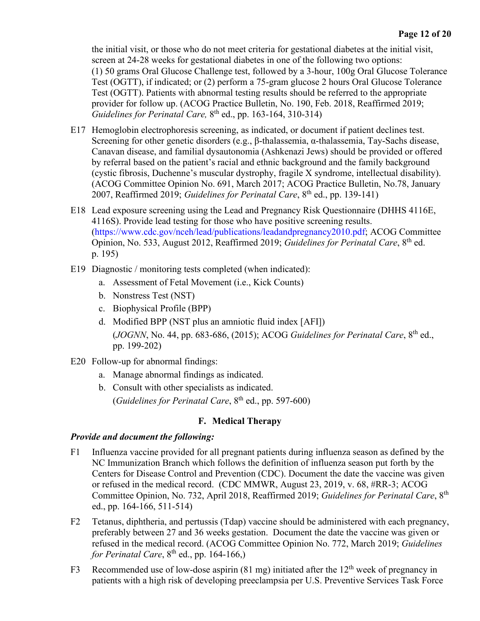the initial visit, or those who do not meet criteria for gestational diabetes at the initial visit, screen at 24-28 weeks for gestational diabetes in one of the following two options: (1) 50 grams Oral Glucose Challenge test, followed by a 3-hour, 100g Oral Glucose Tolerance Test (OGTT), if indicated; or (2) perform a 75-gram glucose 2 hours Oral Glucose Tolerance Test (OGTT). Patients with abnormal testing results should be referred to the appropriate provider for follow up. (ACOG Practice Bulletin, No. 190, Feb. 2018, Reaffirmed 2019; *Guidelines for Perinatal Care,* 8<sup>th</sup> ed., pp. 163-164, 310-314)

- E17 Hemoglobin electrophoresis screening, as indicated, or document if patient declines test. Screening for other genetic disorders (e.g., β-thalassemia, α-thalassemia, Tay-Sachs disease, Canavan disease, and familial dysautonomia (Ashkenazi Jews) should be provided or offered by referral based on the patient's racial and ethnic background and the family background (cystic fibrosis, Duchenne's muscular dystrophy, fragile X syndrome, intellectual disability). (ACOG Committee Opinion No. 691, March 2017; ACOG Practice Bulletin, No.78, January 2007, Reaffirmed 2019; *Guidelines for Perinatal Care*, 8th ed., pp. 139-141)
- E18 Lead exposure screening using the Lead and Pregnancy Risk Questionnaire (DHHS 4116E, 4116S). Provide lead testing for those who have positive screening results. [\(https://www.cdc.gov/nceh/lead/publications/leadandpregnancy2010.pdf;](https://www.cdc.gov/nceh/lead/publications/leadandpregnancy2010.pdf) ACOG Committee Opinion, No. 533, August 2012, Reaffirmed 2019; *Guidelines for Perinatal Care*, 8<sup>th</sup> ed. p. 195)
- E19 Diagnostic / monitoring tests completed (when indicated):
	- a. Assessment of Fetal Movement (i.e., Kick Counts)
	- b. Nonstress Test (NST)
	- c. Biophysical Profile (BPP)
	- d. Modified BPP (NST plus an amniotic fluid index [AFI]) (*JOGNN*, No. 44, pp. 683-686, (2015); ACOG *Guidelines for Perinatal Care*, 8th ed., pp. 199-202)
- E20 Follow-up for abnormal findings:
	- a. Manage abnormal findings as indicated.
	- b. Consult with other specialists as indicated. (*Guidelines for Perinatal Care*, 8<sup>th</sup> ed., pp. 597-600)

# **F. Medical Therapy**

#### *Provide and document the following:*

- F1 Influenza vaccine provided for all pregnant patients during influenza season as defined by the NC Immunization Branch which follows the definition of influenza season put forth by the Centers for Disease Control and Prevention (CDC). Document the date the vaccine was given or refused in the medical record. (CDC MMWR, August 23, 2019, v. 68, #RR-3; ACOG Committee Opinion, No. 732, April 2018, Reaffirmed 2019; *Guidelines for Perinatal Care*, 8th ed., pp. 164-166, 511-514)
- F2 Tetanus, diphtheria, and pertussis (Tdap) vaccine should be administered with each pregnancy, preferably between 27 and 36 weeks gestation. Document the date the vaccine was given or refused in the medical record. (ACOG Committee Opinion No. 772, March 2019; *Guidelines for Perinatal Care*,  $8<sup>th</sup>$  ed., pp. 164-166.)
- F3 Recommended use of low-dose aspirin (81 mg) initiated after the  $12<sup>th</sup>$  week of pregnancy in patients with a high risk of developing preeclampsia per U.S. Preventive Services Task Force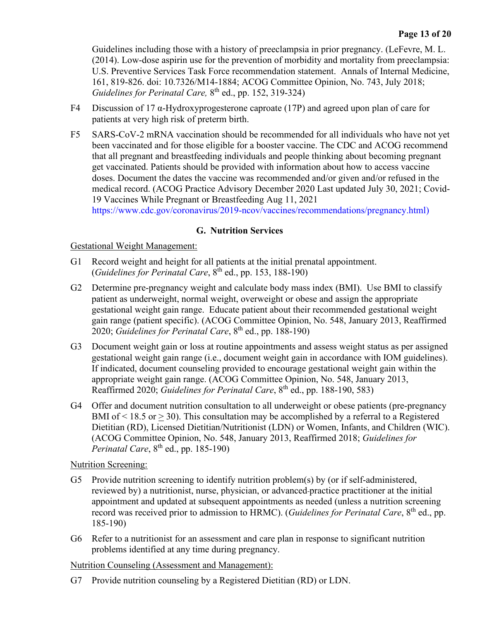Guidelines including those with a history of preeclampsia in prior pregnancy. (LeFevre, M. L. (2014). Low-dose aspirin use for the prevention of morbidity and mortality from preeclampsia: U.S. Preventive Services Task Force recommendation statement. Annals of Internal Medicine, 161, 819-826. doi: 10.7326/M14-1884; ACOG Committee Opinion, No. 743, July 2018; *Guidelines for Perinatal Care, 8<sup>th</sup> ed., pp. 152, 319-324)* 

- F4 Discussion of 17 α-Hydroxyprogesterone caproate (17P) and agreed upon plan of care for patients at very high risk of preterm birth.
- F5 SARS-CoV-2 mRNA vaccination should be recommended for all individuals who have not yet been vaccinated and for those eligible for a booster vaccine. The CDC and ACOG recommend that all pregnant and breastfeeding individuals and people thinking about becoming pregnant get vaccinated. Patients should be provided with information about how to access vaccine doses. Document the dates the vaccine was recommended and/or given and/or refused in the medical record. (ACOG Practice Advisory December 2020 Last updated July 30, 2021; [Covid-](https://www.cdc.gov/coronavirus/2019-ncov/vaccines/recommendations/pregnancy.html)[19 Vaccines While Pregnant or Breastfeeding Aug 11, 2021](https://www.cdc.gov/coronavirus/2019-ncov/vaccines/recommendations/pregnancy.html)

[https://www.cdc.gov/coronavirus/2019-ncov/vaccines/recommendations/pregnancy.html\)](https://www.cdc.gov/coronavirus/2019-ncov/vaccines/recommendations/pregnancy.html)

## **G. Nutrition Services**

#### Gestational Weight Management:

- G1 Record weight and height for all patients at the initial prenatal appointment.  $(Guidelines for Perinatal Care, 8<sup>th</sup> ed., pp. 153, 188-190)$
- G2 Determine pre-pregnancy weight and calculate body mass index (BMI). Use BMI to classify patient as underweight, normal weight, overweight or obese and assign the appropriate gestational weight gain range. Educate patient about their recommended gestational weight gain range (patient specific). (ACOG Committee Opinion, No. 548, January 2013, Reaffirmed 2020; *Guidelines for Perinatal Care*, 8th ed., pp. 188-190)
- G3 Document weight gain or loss at routine appointments and assess weight status as per assigned gestational weight gain range (i.e., document weight gain in accordance with IOM guidelines). If indicated, document counseling provided to encourage gestational weight gain within the appropriate weight gain range. (ACOG Committee Opinion, No. 548, January 2013, Reaffirmed 2020; *Guidelines for Perinatal Care*, 8th ed., pp. 188-190, 583)
- G4 Offer and document nutrition consultation to all underweight or obese patients (pre-pregnancy BMI of  $\leq$  18.5 or  $>$  30). This consultation may be accomplished by a referral to a Registered Dietitian (RD), Licensed Dietitian/Nutritionist (LDN) or Women, Infants, and Children (WIC). (ACOG Committee Opinion, No. 548, January 2013, Reaffirmed 2018; *Guidelines for Perinatal Care*, 8<sup>th</sup> ed., pp. 185-190)

#### Nutrition Screening:

- G5 Provide nutrition screening to identify nutrition problem(s) by (or if self-administered, reviewed by) a nutritionist, nurse, physician, or advanced practice practitioner at the initial appointment and updated at subsequent appointments as needed (unless a nutrition screening record was received prior to admission to HRMC). (*Guidelines for Perinatal Care*, 8th ed., pp. 185-190)
- G6 Refer to a nutritionist for an assessment and care plan in response to significant nutrition problems identified at any time during pregnancy.

Nutrition Counseling (Assessment and Management):

G7 Provide nutrition counseling by a Registered Dietitian (RD) or LDN.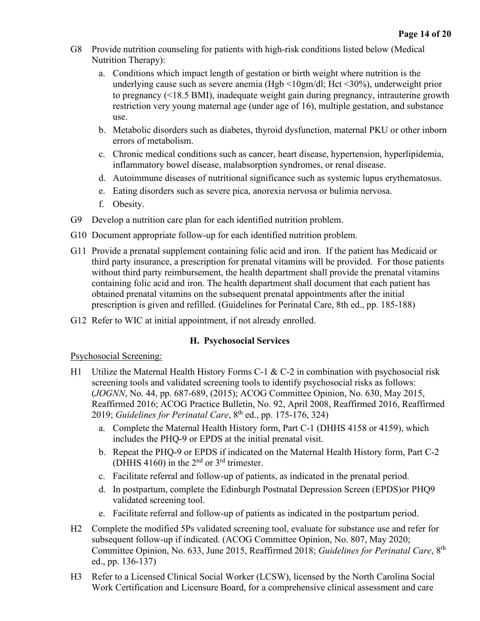- G8 Provide nutrition counseling for patients with high-risk conditions listed below (Medical Nutrition Therapy):
	- a. Conditions which impact length of gestation or birth weight where nutrition is the underlying cause such as severe anemia (Hgb <10gm/dl; Hct <30%), underweight prior to pregnancy (<18.5 BMI), inadequate weight gain during pregnancy, intrauterine growth restriction very young maternal age (under age of 16), multiple gestation, and substance use.
	- b. Metabolic disorders such as diabetes, thyroid dysfunction, maternal PKU or other inborn errors of metabolism.
	- c. Chronic medical conditions such as cancer, heart disease, hypertension, hyperlipidemia, inflammatory bowel disease, malabsorption syndromes, or renal disease.
	- d. Autoimmune diseases of nutritional significance such as systemic lupus erythematosus.
	- e. Eating disorders such as severe pica, anorexia nervosa or bulimia nervosa.
	- f. Obesity.
- G9 Develop a nutrition care plan for each identified nutrition problem.
- G10 Document appropriate follow-up for each identified nutrition problem.
- G11 Provide a prenatal supplement containing folic acid and iron. If the patient has Medicaid or third party insurance, a prescription for prenatal vitamins will be provided. For those patients without third party reimbursement, the health department shall provide the prenatal vitamins containing folic acid and iron. The health department shall document that each patient has obtained prenatal vitamins on the subsequent prenatal appointments after the initial prescription is given and refilled. (Guidelines for Perinatal Care, 8th ed., pp. 185-188)
- G12 Refer to WIC at initial appointment, if not already enrolled.

#### **H. Psychosocial Services**

Psychosocial Screening:

- H1 Utilize the Maternal Health History Forms C-1 & C-2 in combination with psychosocial risk screening tools and validated screening tools to identify psychosocial risks as follows: (*JOGNN*, No. 44, pp. 687-689, (2015); ACOG Committee Opinion, No. 630, May 2015, Reaffirmed 2016; ACOG Practice Bulletin, No. 92, April 2008, Reaffirmed 2016, Reaffirmed 2019; *Guidelines for Perinatal Care*, 8th ed., pp. 175-176, 324)
	- a. Complete the Maternal Health History form, Part C-1 (DHHS 4158 or 4159), which includes the PHQ-9 or EPDS at the initial prenatal visit.
	- b. Repeat the PHQ-9 or EPDS if indicated on the Maternal Health History form, Part C-2 (DHHS 4160) in the  $2<sup>nd</sup>$  or  $3<sup>rd</sup>$  trimester.
	- c. Facilitate referral and follow-up of patients, as indicated in the prenatal period.
	- d. In postpartum, complete the Edinburgh Postnatal Depression Screen (EPDS)or PHQ9 validated screening tool.
	- e. Facilitate referral and follow-up of patients as indicated in the postpartum period.
- H2 Complete the modified 5Ps validated screening tool, evaluate for substance use and refer for subsequent follow-up if indicated. (ACOG Committee Opinion, No. 807, May 2020; Committee Opinion, No. 633, June 2015, Reaffirmed 2018; *Guidelines for Perinatal Care*, 8th ed., pp. 136-137)
- H3 Refer to a Licensed Clinical Social Worker (LCSW), licensed by the North Carolina Social Work Certification and Licensure Board, for a comprehensive clinical assessment and care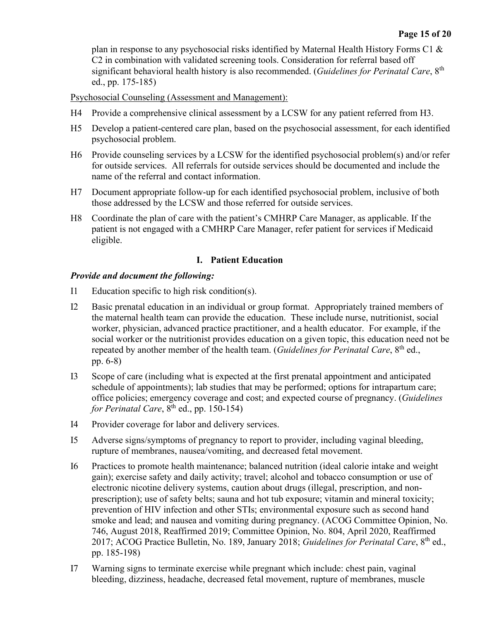plan in response to any psychosocial risks identified by Maternal Health History Forms C1 & C2 in combination with validated screening tools. Consideration for referral based off significant behavioral health history is also recommended. (*Guidelines for Perinatal Care*, 8th ed., pp. 175-185)

Psychosocial Counseling (Assessment and Management):

- H4 Provide a comprehensive clinical assessment by a LCSW for any patient referred from H3.
- H5 Develop a patient-centered care plan, based on the psychosocial assessment, for each identified psychosocial problem.
- H6 Provide counseling services by a LCSW for the identified psychosocial problem(s) and/or refer for outside services. All referrals for outside services should be documented and include the name of the referral and contact information.
- H7 Document appropriate follow-up for each identified psychosocial problem, inclusive of both those addressed by the LCSW and those referred for outside services.
- H8 Coordinate the plan of care with the patient's CMHRP Care Manager, as applicable. If the patient is not engaged with a CMHRP Care Manager, refer patient for services if Medicaid eligible.

#### **I. Patient Education**

#### *Provide and document the following:*

- I1 Education specific to high risk condition(s).
- I2 Basic prenatal education in an individual or group format. Appropriately trained members of the maternal health team can provide the education. These include nurse, nutritionist, social worker, physician, advanced practice practitioner, and a health educator. For example, if the social worker or the nutritionist provides education on a given topic, this education need not be repeated by another member of the health team. (*Guidelines for Perinatal Care*, 8<sup>th</sup> ed., pp. 6-8)
- I3 Scope of care (including what is expected at the first prenatal appointment and anticipated schedule of appointments); lab studies that may be performed; options for intrapartum care; office policies; emergency coverage and cost; and expected course of pregnancy. (*Guidelines for Perinatal Care*,  $8^{th}$  ed., pp. 150-154)
- I4 Provider coverage for labor and delivery services.
- I5 Adverse signs/symptoms of pregnancy to report to provider, including vaginal bleeding, rupture of membranes, nausea/vomiting, and decreased fetal movement.
- I6 Practices to promote health maintenance; balanced nutrition (ideal calorie intake and weight gain); exercise safety and daily activity; travel; alcohol and tobacco consumption or use of electronic nicotine delivery systems, caution about drugs (illegal, prescription, and nonprescription); use of safety belts; sauna and hot tub exposure; vitamin and mineral toxicity; prevention of HIV infection and other STIs; environmental exposure such as second hand smoke and lead; and nausea and vomiting during pregnancy. (ACOG Committee Opinion, No. 746, August 2018, Reaffirmed 2019; Committee Opinion, No. 804, April 2020, Reaffirmed 2017; ACOG Practice Bulletin, No. 189, January 2018; *Guidelines for Perinatal Care*, 8<sup>th</sup> ed., pp. 185-198)
- I7 Warning signs to terminate exercise while pregnant which include: chest pain, vaginal bleeding, dizziness, headache, decreased fetal movement, rupture of membranes, muscle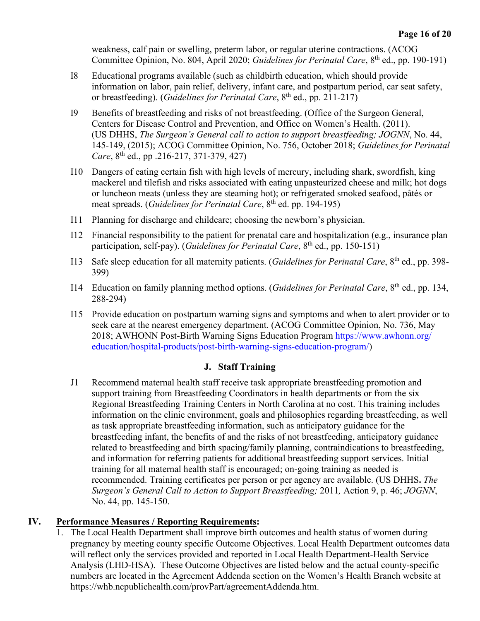weakness, calf pain or swelling, preterm labor, or regular uterine contractions. (ACOG Committee Opinion, No. 804, April 2020; *Guidelines for Perinatal Care*, 8<sup>th</sup> ed., pp. 190-191)

- I8 Educational programs available (such as childbirth education, which should provide information on labor, pain relief, delivery, infant care, and postpartum period, car seat safety, or breastfeeding). (*Guidelines for Perinatal Care*, 8th ed., pp. 211-217)
- I9 Benefits of breastfeeding and risks of not breastfeeding. (Office of the Surgeon General, Centers for Disease Control and Prevention, and Office on Women's Health. (2011). (US DHHS, *The Surgeon's General call to action to support breastfeeding; JOGNN*, No. 44, 145-149, (2015); ACOG Committee Opinion, No. 756, October 2018; *Guidelines for Perinatal Care*, 8<sup>th</sup> ed., pp .216-217, 371-379, 427)
- I10 Dangers of eating certain fish with high levels of mercury, including shark, swordfish, king mackerel and tilefish and risks associated with eating unpasteurized cheese and milk; hot dogs or luncheon meats (unless they are steaming hot); or refrigerated smoked seafood, pâtés or meat spreads. (*Guidelines for Perinatal Care*, 8th ed. pp. 194-195)
- I11 Planning for discharge and childcare; choosing the newborn's physician.
- I12 Financial responsibility to the patient for prenatal care and hospitalization (e.g., insurance plan participation, self-pay). (*Guidelines for Perinatal Care*, 8<sup>th</sup> ed., pp. 150-151)
- I13 Safe sleep education for all maternity patients. (*Guidelines for Perinatal Care*, 8th ed., pp. 398- 399)
- I14 Education on family planning method options. (*Guidelines for Perinatal Care*, 8th ed., pp. 134, 288-294)
- I15 Provide education on postpartum warning signs and symptoms and when to alert provider or to seek care at the nearest emergency department. (ACOG Committee Opinion, No. 736, May 2018; AWHONN Post-Birth Warning Signs Education Program [https://www.awhonn.org/](https://www.awhonn.org/education/hospital-products/post-birth-warning-signs-education-program/)  [education/hospital-products/post-birth-warning-signs-education-program/\)](https://www.awhonn.org/education/hospital-products/post-birth-warning-signs-education-program/)

#### **J. Staff Training**

J1 Recommend maternal health staff receive task appropriate breastfeeding promotion and support training from Breastfeeding Coordinators in health departments or from the six Regional Breastfeeding Training Centers in North Carolina at no cost. This training includes information on the clinic environment, goals and philosophies regarding breastfeeding, as well as task appropriate breastfeeding information, such as anticipatory guidance for the breastfeeding infant, the benefits of and the risks of not breastfeeding, anticipatory guidance related to breastfeeding and birth spacing/family planning, contraindications to breastfeeding, and information for referring patients for additional breastfeeding support services. Initial training for all maternal health staff is encouraged; on-going training as needed is recommended. Training certificates per person or per agency are available. (US DHHS**.** *The Surgeon's General Call to Action to Support Breastfeeding;* 2011*,* Action 9, p. 46; *JOGNN*, No. 44, pp. 145-150.

#### **IV. Performance Measures / Reporting Requirements:**

1. The Local Health Department shall improve birth outcomes and health status of women during pregnancy by meeting county specific Outcome Objectives. Local Health Department outcomes data will reflect only the services provided and reported in Local Health Department-Health Service Analysis (LHD-HSA). These Outcome Objectives are listed below and the actual county-specific numbers are located in the Agreement Addenda section on the Women's Health Branch website at [https://whb.ncpublichealth.com/provPart/agreementAddenda.htm.](https://whb.ncpublichealth.com/provPart/agreementAddenda.htm)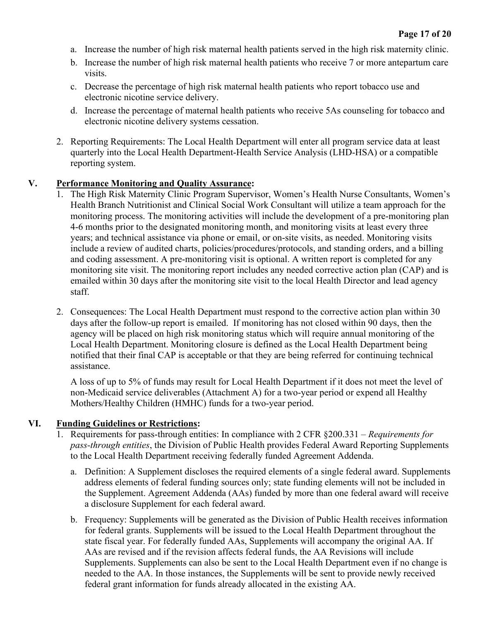- a. Increase the number of high risk maternal health patients served in the high risk maternity clinic.
- b. Increase the number of high risk maternal health patients who receive 7 or more antepartum care visits.
- c. Decrease the percentage of high risk maternal health patients who report tobacco use and electronic nicotine service delivery.
- d. Increase the percentage of maternal health patients who receive 5As counseling for tobacco and electronic nicotine delivery systems cessation.
- 2. Reporting Requirements: The Local Health Department will enter all program service data at least quarterly into the Local Health Department-Health Service Analysis (LHD-HSA) or a compatible reporting system.

#### **V. Performance Monitoring and Quality Assurance:**

- 1. The High Risk Maternity Clinic Program Supervisor, Women's Health Nurse Consultants, Women's Health Branch Nutritionist and Clinical Social Work Consultant will utilize a team approach for the monitoring process. The monitoring activities will include the development of a pre-monitoring plan 4-6 months prior to the designated monitoring month, and monitoring visits at least every three years; and technical assistance via phone or email, or on-site visits, as needed. Monitoring visits include a review of audited charts, policies/procedures/protocols, and standing orders, and a billing and coding assessment. A pre-monitoring visit is optional. A written report is completed for any monitoring site visit. The monitoring report includes any needed corrective action plan (CAP) and is emailed within 30 days after the monitoring site visit to the local Health Director and lead agency staff.
- 2. Consequences: The Local Health Department must respond to the corrective action plan within 30 days after the follow-up report is emailed. If monitoring has not closed within 90 days, then the agency will be placed on high risk monitoring status which will require annual monitoring of the Local Health Department. Monitoring closure is defined as the Local Health Department being notified that their final CAP is acceptable or that they are being referred for continuing technical assistance.

A loss of up to 5% of funds may result for Local Health Department if it does not meet the level of non-Medicaid service deliverables (Attachment A) for a two-year period or expend all Healthy Mothers/Healthy Children (HMHC) funds for a two-year period.

#### **VI. Funding Guidelines or Restrictions:**

- 1. Requirements for pass-through entities: In compliance with 2 CFR §200.331 *Requirements for pass-through entities*, the Division of Public Health provides Federal Award Reporting Supplements to the Local Health Department receiving federally funded Agreement Addenda.
	- a. Definition: A Supplement discloses the required elements of a single federal award. Supplements address elements of federal funding sources only; state funding elements will not be included in the Supplement. Agreement Addenda (AAs) funded by more than one federal award will receive a disclosure Supplement for each federal award.
	- b. Frequency: Supplements will be generated as the Division of Public Health receives information for federal grants. Supplements will be issued to the Local Health Department throughout the state fiscal year. For federally funded AAs, Supplements will accompany the original AA. If AAs are revised and if the revision affects federal funds, the AA Revisions will include Supplements. Supplements can also be sent to the Local Health Department even if no change is needed to the AA. In those instances, the Supplements will be sent to provide newly received federal grant information for funds already allocated in the existing AA.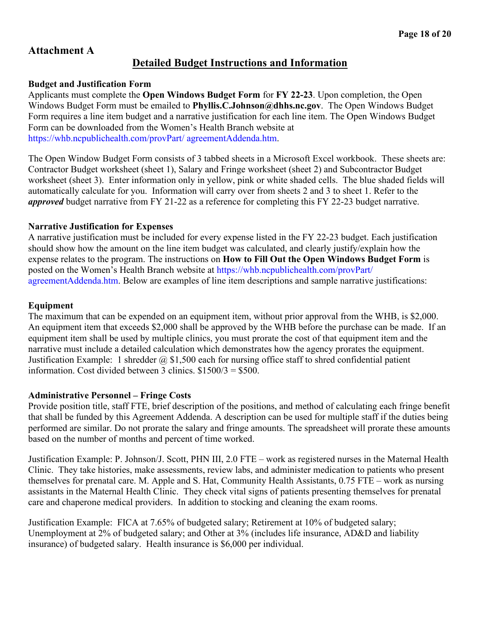# **Attachment A**

# **Detailed Budget Instructions and Information**

#### **Budget and Justification Form**

Applicants must complete the **Open Windows Budget Form** for **FY 22-23**. Upon completion, the Open Windows Budget Form must be emailed to **Phyllis.C.Johnson@dhhs.nc.gov**. The Open Windows Budget Form requires a line item budget and a narrative justification for each line item. The Open Windows Budget Form can be downloaded from the Women's Health Branch website at [https://whb.ncpublichealth.com/provPart/ agreementAddenda.htm.](https://whb.ncpublichealth.com/provPart/%20agreementAddenda.htm)

The Open Window Budget Form consists of 3 tabbed sheets in a Microsoft Excel workbook. These sheets are: Contractor Budget worksheet (sheet 1), Salary and Fringe worksheet (sheet 2) and Subcontractor Budget worksheet (sheet 3). Enter information only in yellow, pink or white shaded cells. The blue shaded fields will automatically calculate for you. Information will carry over from sheets 2 and 3 to sheet 1. Refer to the *approved* budget narrative from FY 21-22 as a reference for completing this FY 22-23 budget narrative.

## **Narrative Justification for Expenses**

A narrative justification must be included for every expense listed in the FY 22-23 budget. Each justification should show how the amount on the line item budget was calculated, and clearly justify/explain how the expense relates to the program. The instructions on **How to Fill Out the Open Windows Budget Form** is posted on the Women's Health Branch website at [https://whb.ncpublichealth.com/provPart/](https://whb.ncpublichealth.com/provPart/%20agreementAddenda.htm)  [agreementAddenda.htm.](https://whb.ncpublichealth.com/provPart/%20agreementAddenda.htm) Below are examples of line item descriptions and sample narrative justifications:

## **Equipment**

The maximum that can be expended on an equipment item, without prior approval from the WHB, is \$2,000. An equipment item that exceeds \$2,000 shall be approved by the WHB before the purchase can be made. If an equipment item shall be used by multiple clinics, you must prorate the cost of that equipment item and the narrative must include a detailed calculation which demonstrates how the agency prorates the equipment. Justification Example: 1 shredder  $\omega$  \$1,500 each for nursing office staff to shred confidential patient information. Cost divided between 3 clinics.  $$1500/3 = $500$ .

#### **Administrative Personnel – Fringe Costs**

Provide position title, staff FTE, brief description of the positions, and method of calculating each fringe benefit that shall be funded by this Agreement Addenda. A description can be used for multiple staff if the duties being performed are similar. Do not prorate the salary and fringe amounts. The spreadsheet will prorate these amounts based on the number of months and percent of time worked.

Justification Example: P. Johnson/J. Scott, PHN III, 2.0 FTE – work as registered nurses in the Maternal Health Clinic. They take histories, make assessments, review labs, and administer medication to patients who present themselves for prenatal care. M. Apple and S. Hat, Community Health Assistants, 0.75 FTE – work as nursing assistants in the Maternal Health Clinic. They check vital signs of patients presenting themselves for prenatal care and chaperone medical providers. In addition to stocking and cleaning the exam rooms.

Justification Example: FICA at 7.65% of budgeted salary; Retirement at 10% of budgeted salary; Unemployment at 2% of budgeted salary; and Other at 3% (includes life insurance, AD&D and liability insurance) of budgeted salary. Health insurance is \$6,000 per individual.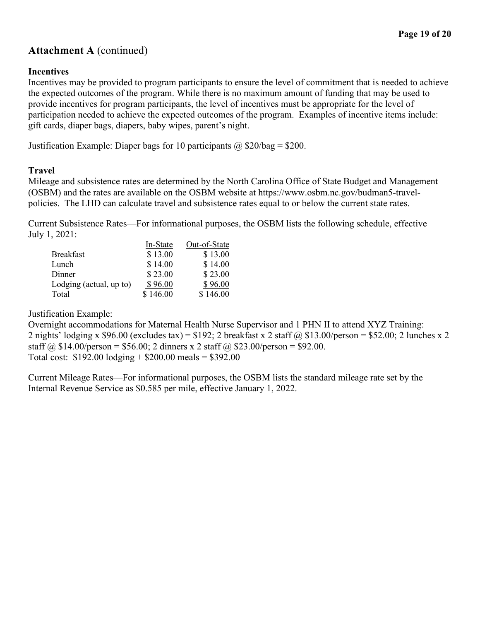# **Attachment A** (continued)

### **Incentives**

Incentives may be provided to program participants to ensure the level of commitment that is needed to achieve the expected outcomes of the program. While there is no maximum amount of funding that may be used to provide incentives for program participants, the level of incentives must be appropriate for the level of participation needed to achieve the expected outcomes of the program. Examples of incentive items include: gift cards, diaper bags, diapers, baby wipes, parent's night.

Justification Example: Diaper bags for 10 participants  $\omega$  \$20/bag = \$200.

#### **Travel**

Mileage and subsistence rates are determined by the North Carolina Office of State Budget and Management (OSBM) and the rates are available on the OSBM website at https://www.osbm.nc.gov/budman5-travelpolicies. The LHD can calculate travel and subsistence rates equal to or below the current state rates.

Current Subsistence Rates—For informational purposes, the OSBM lists the following schedule, effective July 1, 2021:

|                         | In-State | Out-of-State |
|-------------------------|----------|--------------|
| <b>Breakfast</b>        | \$13.00  | \$13.00      |
| Lunch                   | \$14.00  | \$14.00      |
| Dinner                  | \$23.00  | \$23.00      |
| Lodging (actual, up to) | \$96.00  | \$96.00      |
| Total                   | \$146.00 | \$146.00     |

Justification Example:

Overnight accommodations for Maternal Health Nurse Supervisor and 1 PHN II to attend XYZ Training: 2 nights' lodging x \$96.00 (excludes tax) = \$192; 2 breakfast x 2 staff  $\omega$  \$13.00/person = \$52.00; 2 lunches x 2 staff  $\omega$  \$14.00/person = \$56.00; 2 dinners x 2 staff  $\omega$  \$23.00/person = \$92.00. Total cost:  $$192.00$  lodging  $+ $200.00$  meals  $= $392.00$ 

Current Mileage Rates—For informational purposes, the OSBM lists the standard mileage rate set by the Internal Revenue Service as \$0.585 per mile, effective January 1, 2022.